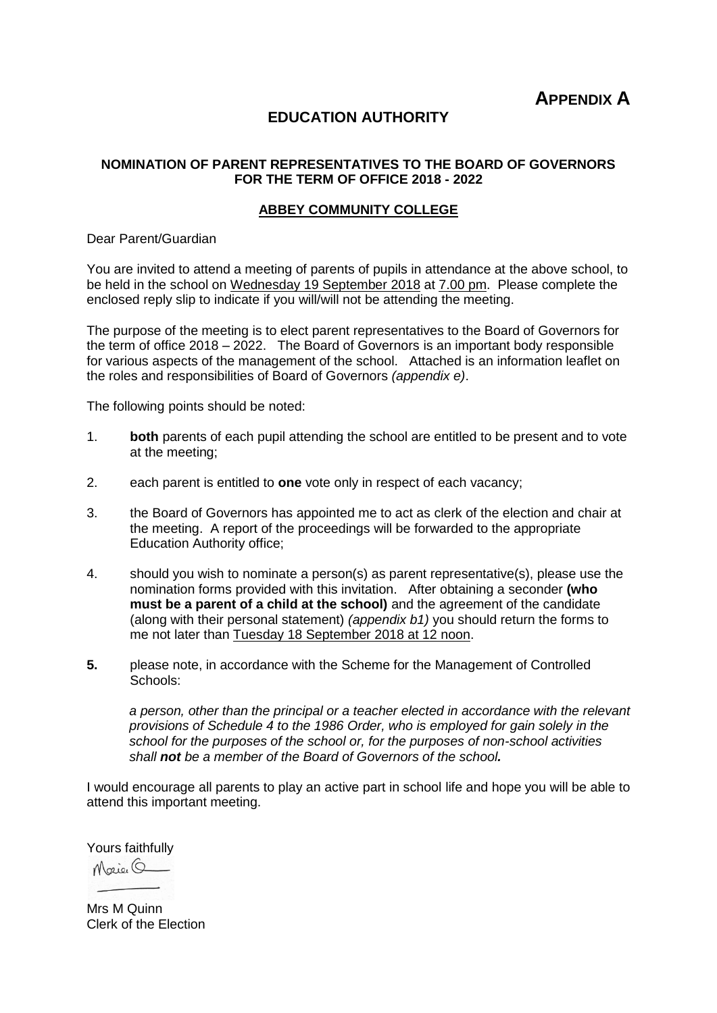**APPENDIX A**

#### **EDUCATION AUTHORITY**

#### **NOMINATION OF PARENT REPRESENTATIVES TO THE BOARD OF GOVERNORS FOR THE TERM OF OFFICE 2018 - 2022**

#### **ABBEY COMMUNITY COLLEGE**

Dear Parent/Guardian

You are invited to attend a meeting of parents of pupils in attendance at the above school, to be held in the school on Wednesday 19 September 2018 at 7.00 pm. Please complete the enclosed reply slip to indicate if you will/will not be attending the meeting.

The purpose of the meeting is to elect parent representatives to the Board of Governors for the term of office 2018 – 2022. The Board of Governors is an important body responsible for various aspects of the management of the school. Attached is an information leaflet on the roles and responsibilities of Board of Governors *(appendix e)*.

The following points should be noted:

- 1. **both** parents of each pupil attending the school are entitled to be present and to vote at the meeting;
- 2. each parent is entitled to **one** vote only in respect of each vacancy;
- 3. the Board of Governors has appointed me to act as clerk of the election and chair at the meeting. A report of the proceedings will be forwarded to the appropriate Education Authority office;
- 4. should you wish to nominate a person(s) as parent representative(s), please use the nomination forms provided with this invitation. After obtaining a seconder **(who must be a parent of a child at the school)** and the agreement of the candidate (along with their personal statement) *(appendix b1)* you should return the forms to me not later than Tuesday 18 September 2018 at 12 noon.
- **5.** please note, in accordance with the Scheme for the Management of Controlled Schools:

*a person, other than the principal or a teacher elected in accordance with the relevant provisions of Schedule 4 to the 1986 Order, who is employed for gain solely in the school for the purposes of the school or, for the purposes of non-school activities shall not be a member of the Board of Governors of the school.*

I would encourage all parents to play an active part in school life and hope you will be able to attend this important meeting.

Yours faithfully

Maig 6

Mrs M Quinn Clerk of the Election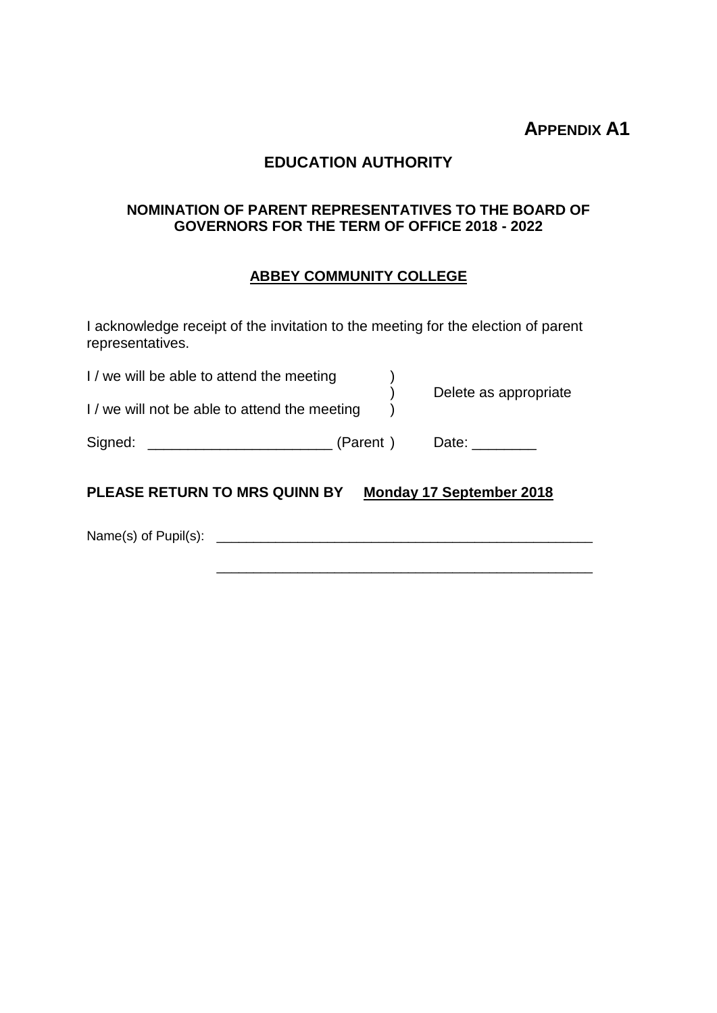# **APPENDIX A1**

## **EDUCATION AUTHORITY**

#### **NOMINATION OF PARENT REPRESENTATIVES TO THE BOARD OF GOVERNORS FOR THE TERM OF OFFICE 2018 - 2022**

### **ABBEY COMMUNITY COLLEGE**

I acknowledge receipt of the invitation to the meeting for the election of parent representatives.

| I / we will be able to attend the meeting     |          | Delete as appropriate           |
|-----------------------------------------------|----------|---------------------------------|
| I / we will not be able to attend the meeting |          |                                 |
| Signed:                                       | (Parent) | Date:                           |
| <b>PLEASE RETURN TO MRS QUINN BY</b>          |          | <b>Monday 17 September 2018</b> |
| Name(s) of Pupil(s):                          |          |                                 |
|                                               |          |                                 |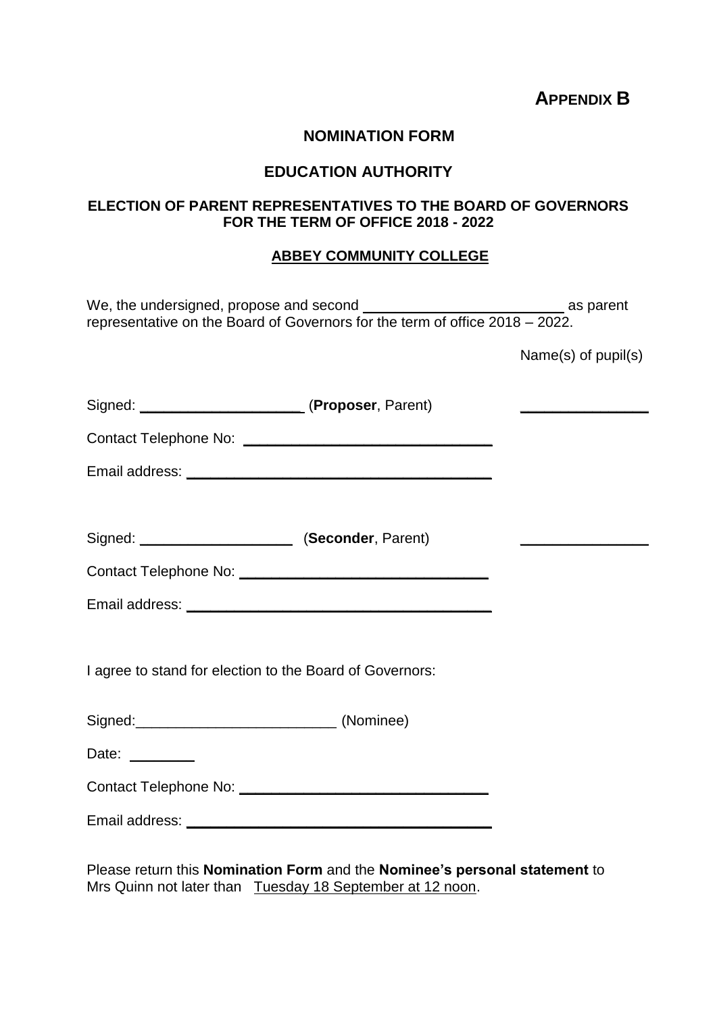**APPENDIX B**

#### **NOMINATION FORM**

### **EDUCATION AUTHORITY**

### **ELECTION OF PARENT REPRESENTATIVES TO THE BOARD OF GOVERNORS FOR THE TERM OF OFFICE 2018 - 2022**

#### **ABBEY COMMUNITY COLLEGE**

|                                                          | representative on the Board of Governors for the term of office $2018 - 2022$ . |                           |
|----------------------------------------------------------|---------------------------------------------------------------------------------|---------------------------|
|                                                          |                                                                                 | Name $(s)$ of pupil $(s)$ |
|                                                          |                                                                                 |                           |
|                                                          |                                                                                 |                           |
|                                                          |                                                                                 |                           |
|                                                          |                                                                                 |                           |
| Signed: ____________________________ (Seconder, Parent)  |                                                                                 |                           |
|                                                          |                                                                                 |                           |
|                                                          |                                                                                 |                           |
|                                                          |                                                                                 |                           |
| I agree to stand for election to the Board of Governors: |                                                                                 |                           |
| Signed: (Nominee)                                        |                                                                                 |                           |
| Date: _______                                            |                                                                                 |                           |
|                                                          |                                                                                 |                           |
|                                                          |                                                                                 |                           |
|                                                          |                                                                                 |                           |

Please return this **Nomination Form** and the **Nominee's personal statement** to Mrs Quinn not later than Tuesday 18 September at 12 noon.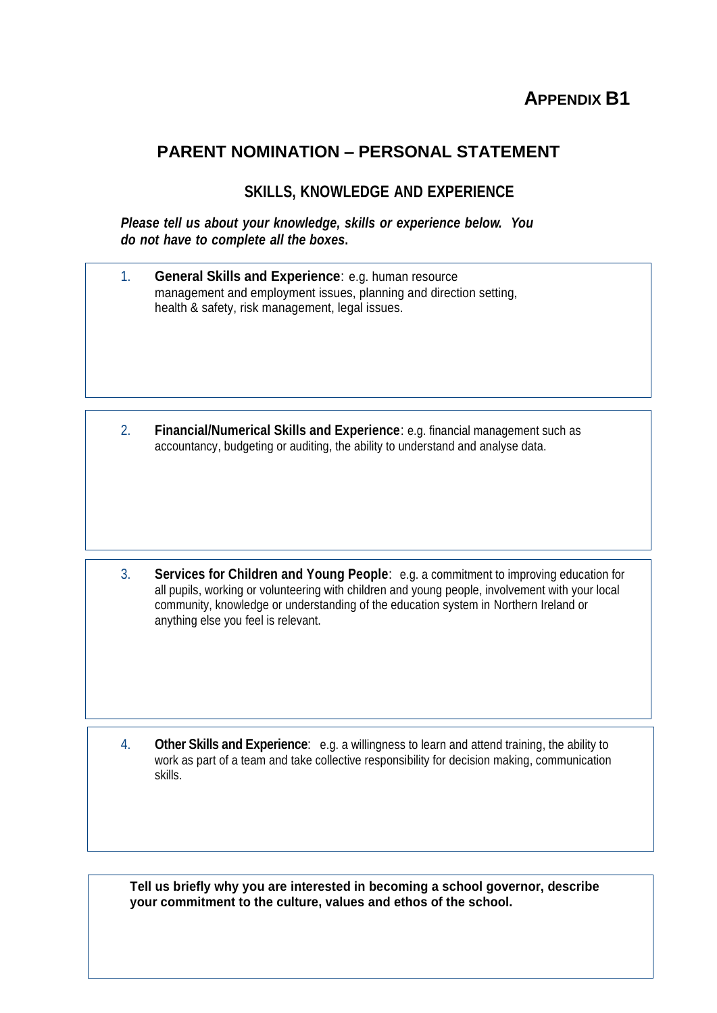# **APPENDIX B1**

# **PARENT NOMINATION – PERSONAL STATEMENT**

# **SKILLS, KNOWLEDGE AND EXPERIENCE**

*Please tell us about your knowledge, skills or experience below. You do not have to complete all the boxes***.**

| <b>General Skills and Experience: e.g. human resource</b>         |
|-------------------------------------------------------------------|
| management and employment issues, planning and direction setting, |
| health & safety, risk management, legal issues.                   |

2. **Financial/Numerical Skills and Experience**: e.g. financial management such as accountancy, budgeting or auditing, the ability to understand and analyse data.

3. **Services for Children and Young People**: e.g. a commitment to improving education for all pupils, working or volunteering with children and young people, involvement with your local community, knowledge or understanding of the education system in Northern Ireland or anything else you feel is relevant.

4. **Other Skills and Experience**: e.g. a willingness to learn and attend training, the ability to work as part of a team and take collective responsibility for decision making, communication skills.

**Tell us briefly why you are interested in becoming a school governor, describe your commitment to the culture, values and ethos of the school.**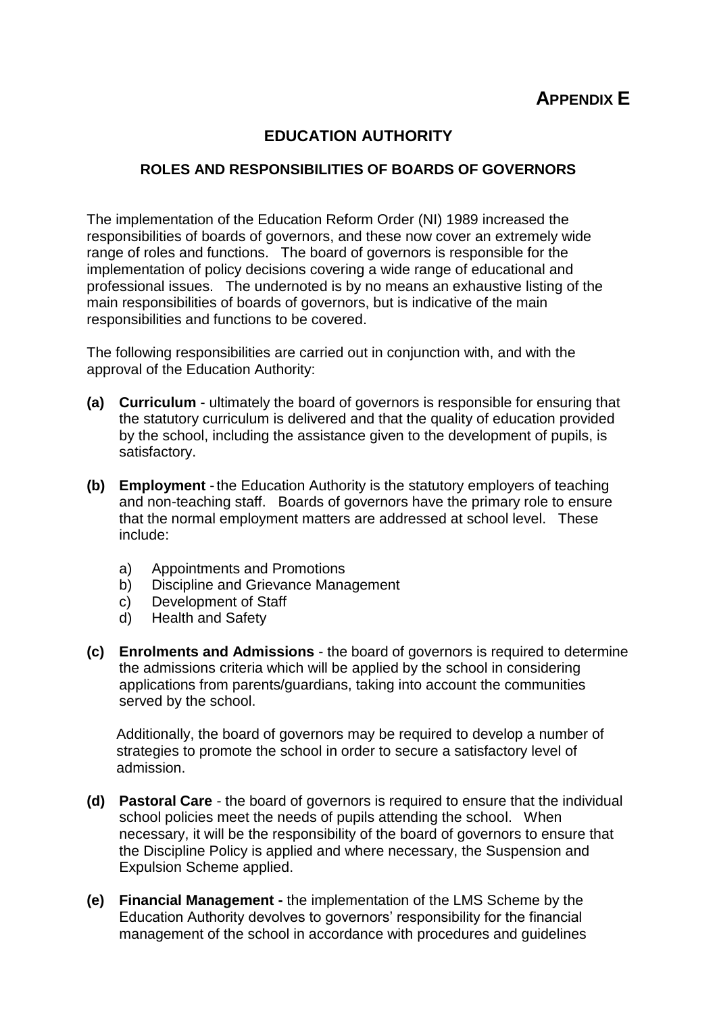# **EDUCATION AUTHORITY**

### **ROLES AND RESPONSIBILITIES OF BOARDS OF GOVERNORS**

The implementation of the Education Reform Order (NI) 1989 increased the responsibilities of boards of governors, and these now cover an extremely wide range of roles and functions. The board of governors is responsible for the implementation of policy decisions covering a wide range of educational and professional issues. The undernoted is by no means an exhaustive listing of the main responsibilities of boards of governors, but is indicative of the main responsibilities and functions to be covered.

The following responsibilities are carried out in conjunction with, and with the approval of the Education Authority:

- **(a) Curriculum** ultimately the board of governors is responsible for ensuring that the statutory curriculum is delivered and that the quality of education provided by the school, including the assistance given to the development of pupils, is satisfactory.
- **(b) Employment** -the Education Authority is the statutory employers of teaching and non-teaching staff. Boards of governors have the primary role to ensure that the normal employment matters are addressed at school level. These include:
	- a) Appointments and Promotions
	- b) Discipline and Grievance Management
	- c) Development of Staff
	- d) Health and Safety
- **(c) Enrolments and Admissions** the board of governors is required to determine the admissions criteria which will be applied by the school in considering applications from parents/guardians, taking into account the communities served by the school.

Additionally, the board of governors may be required to develop a number of strategies to promote the school in order to secure a satisfactory level of admission.

- **(d) Pastoral Care** the board of governors is required to ensure that the individual school policies meet the needs of pupils attending the school. When necessary, it will be the responsibility of the board of governors to ensure that the Discipline Policy is applied and where necessary, the Suspension and Expulsion Scheme applied.
- **(e) Financial Management -** the implementation of the LMS Scheme by the Education Authority devolves to governors' responsibility for the financial management of the school in accordance with procedures and guidelines